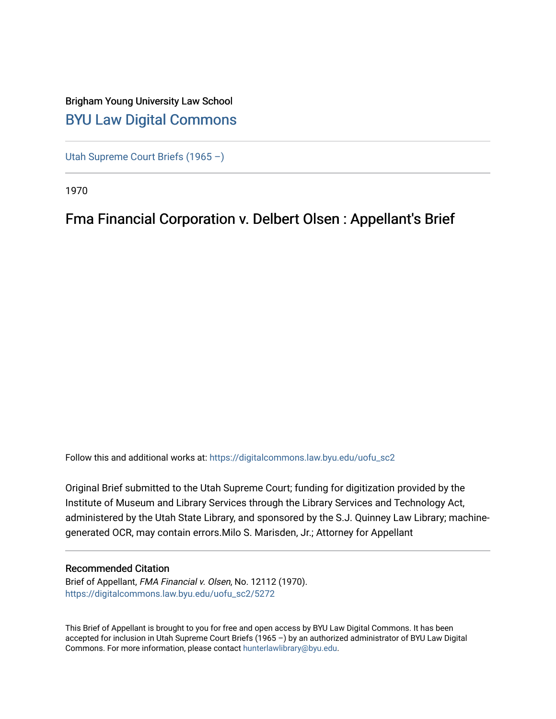# Brigham Young University Law School [BYU Law Digital Commons](https://digitalcommons.law.byu.edu/)

[Utah Supreme Court Briefs \(1965 –\)](https://digitalcommons.law.byu.edu/uofu_sc2)

1970

# Fma Financial Corporation v. Delbert Olsen : Appellant's Brief

Follow this and additional works at: [https://digitalcommons.law.byu.edu/uofu\\_sc2](https://digitalcommons.law.byu.edu/uofu_sc2?utm_source=digitalcommons.law.byu.edu%2Fuofu_sc2%2F5272&utm_medium=PDF&utm_campaign=PDFCoverPages)

Original Brief submitted to the Utah Supreme Court; funding for digitization provided by the Institute of Museum and Library Services through the Library Services and Technology Act, administered by the Utah State Library, and sponsored by the S.J. Quinney Law Library; machinegenerated OCR, may contain errors.Milo S. Marisden, Jr.; Attorney for Appellant

### Recommended Citation

Brief of Appellant, FMA Financial v. Olsen, No. 12112 (1970). [https://digitalcommons.law.byu.edu/uofu\\_sc2/5272](https://digitalcommons.law.byu.edu/uofu_sc2/5272?utm_source=digitalcommons.law.byu.edu%2Fuofu_sc2%2F5272&utm_medium=PDF&utm_campaign=PDFCoverPages) 

This Brief of Appellant is brought to you for free and open access by BYU Law Digital Commons. It has been accepted for inclusion in Utah Supreme Court Briefs (1965 –) by an authorized administrator of BYU Law Digital Commons. For more information, please contact [hunterlawlibrary@byu.edu](mailto:hunterlawlibrary@byu.edu).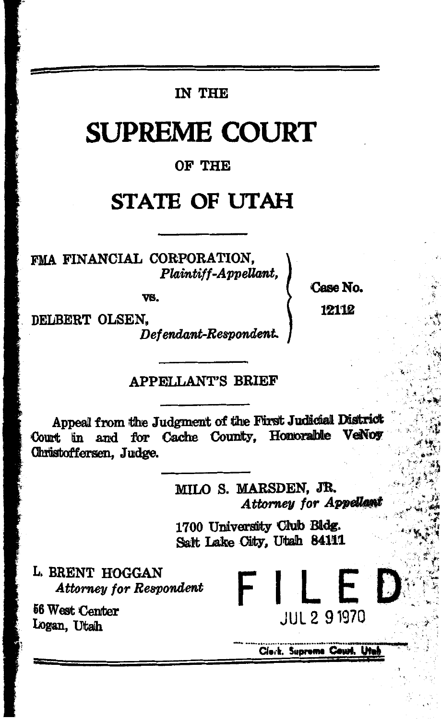## IN THE

# **SUPREME COURT**

#### OF THE

# **STATE OF UTAH**

FMA FINANCIAL CORPORATION. Plaintiff-Appellant,

VS.

**Case No.** 12112

DELBERT OLSEN.

Defendant-Respondent.

### **APPELLANT'S BRIEF**

Appeal from the Judgment of the First Judicial District Court in and for Cache County, Honorable VeNos Christoffersen. Judge.

> MILO S. MARSDEN. JR. Attorney for Appellan

1700 University Club Bldg. Salt Lake City, Utah 84111

L. BRENT HOGGAN **Attorney for Respondent** 

56 West Center Logan, Utah

Clerk, Supreme Court, Ut

FILED

**JUL 2 9 1970**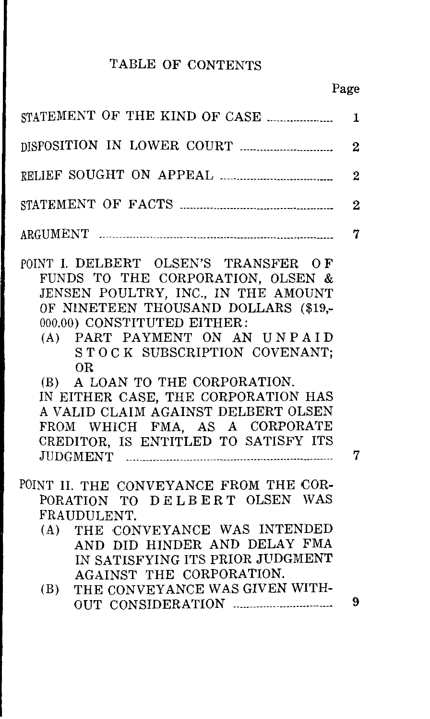# TABLE OF CONTENTS

|                                                                                                                                                                                                                                                                       | 1              |
|-----------------------------------------------------------------------------------------------------------------------------------------------------------------------------------------------------------------------------------------------------------------------|----------------|
|                                                                                                                                                                                                                                                                       | $\overline{2}$ |
|                                                                                                                                                                                                                                                                       | $\overline{2}$ |
|                                                                                                                                                                                                                                                                       | $\overline{2}$ |
|                                                                                                                                                                                                                                                                       | 7              |
| POINT I. DELBERT OLSEN'S TRANSFER OF<br>FUNDS TO THE CORPORATION, OLSEN &<br>JENSEN POULTRY, INC., IN THE AMOUNT<br>OF NINETEEN THOUSAND DOLLARS (\$19,-<br>000.00) CONSTITUTED EITHER:<br>(A) PART PAYMENT ON AN UNPAID<br>STOCK SUBSCRIPTION COVENANT;<br><b>OR</b> |                |
| (B) A LOAN TO THE CORPORATION.                                                                                                                                                                                                                                        |                |
| IN EITHER CASE, THE CORPORATION HAS                                                                                                                                                                                                                                   |                |
| A VALID CLAIM AGAINST DELBERT OLSEN                                                                                                                                                                                                                                   |                |
| FROM WHICH FMA, AS A CORPORATE                                                                                                                                                                                                                                        |                |
| CREDITOR, IS ENTITLED TO SATISFY ITS                                                                                                                                                                                                                                  | 7              |
| POINT II. THE CONVEYANCE FROM THE COR-<br>PORATION TO DELBERT OLSEN WAS<br>FRAUDULENT.<br>THE CONVEYANCE WAS INTENDED<br>(A)<br>AND DID HINDER AND DELAY FMA<br>IN SATISFYING ITS PRIOR JUDGMENT                                                                      |                |
| AGAINST THE CORPORATION.                                                                                                                                                                                                                                              |                |
| THE CONVEYANCE WAS GIVEN WITH-<br>(B)                                                                                                                                                                                                                                 | 9              |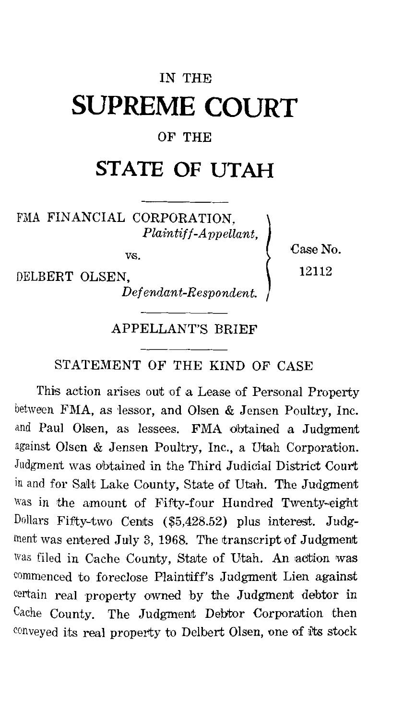# IN THE **SUPREME COURT**

### OF THE

# **STATE OF UTAH**

FMA FINANCIAL CORPORATION, *Plaintiff-Appellant,* 

vs.

DELBERT OLSEN,

*Defendant-Respondent.* 

Case No. 12112

#### APPELLANT'S BRIEF

#### STATEMENT OF THE KIND OF CASE

This action arises out of a Lease of Personal Property between FMA, as lessor, and Olsen & Jensen Poultry, Inc. and Paul Olsen, as lessees. FMA obtained a Judgment against Olsen & Jensen Poultry, Inc., a Utah Corporation. Judgment was obtained in the Third Judicial District Court in and for SaJlt Lake County, State of Utah. The Judgment Was in the amount of Fifty-four Hundred Twenty-eight Dollars Fifty-two Cents (\$5,428.52) plus interest. Judgment was entered July 3, 1968. The transcript of Judgment was filed in Cache County, State of Utah. An action was commenced to foreclose Plaintiff's Judgment Lien against certain real property owned by the Judgment debtor in Cache County. The Judgment Debtor Corporation then conveyed its real property to Delbert Olsen, one of its stock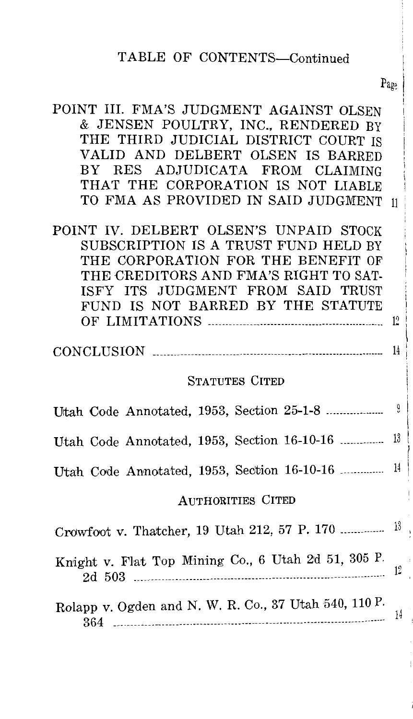#### TABLE OF CONTENTS-Continued

 $P_{\alpha\alpha}$ 

| POINT III. FMA'S JUDGMENT AGAINST OLSEN |  |
|-----------------------------------------|--|
| & JENSEN POULTRY, INC., RENDERED BY     |  |
| THE THIRD JUDICIAL DISTRICT COURT IS    |  |
| VALID AND DELBERT OLSEN IS BARRED       |  |
| BY RES ADJUDICATA FROM CLAIMING         |  |
| THAT THE CORPORATION IS NOT LIABLE      |  |
| TO FMA AS PROVIDED IN SAID JUDGMENT 11  |  |

POINT IV. DELBERT OLSEN'S UNPAID STOCK SUBSCRIPTION IS A TRUST FUND HELD BY THE CORPORATION FOR THE BENEFIT OF THE CREDITORS AND FMA'S RIGHT TO SAT-ISFY ITS JUDGMENT FROM SAID TRUST FUND IS NOT BARRED BY THE STATUTE OF LIMITATIONS ----------------------------------------·-----------  $12$ 

 $CONCLUSION$   $\ldots$   $\ldots$   $\ldots$   $\ldots$   $\ldots$   $\ldots$   $\ldots$   $\ldots$   $\ldots$   $\ldots$   $\ldots$   $\ldots$   $\ldots$   $\ldots$   $\ldots$   $\ldots$   $\ldots$   $\ldots$   $\ldots$   $\ldots$   $\ldots$   $\ldots$   $\ldots$   $\ldots$   $\ldots$   $\ldots$   $\ldots$   $\ldots$   $\ldots$   $\ldots$   $\ldots$   $\ldots$   $\ldots$   $\ldots$   $\ldots$   $\ldots$ 

#### STATUTES CITED

| Utah Code Annotated, 1953, Section 16-10-16  13           |  |  |  |
|-----------------------------------------------------------|--|--|--|
| Utah Code Annotated, 1953, Section 16-10-16 <sup>14</sup> |  |  |  |
| <b>AUTHORITIES CITED</b>                                  |  |  |  |
|                                                           |  |  |  |
| Knight v. Flat Top Mining Co., 6 Utah 2d 51, 305 P.       |  |  |  |
| Rolapp v. Ogden and N. W. R. Co., 37 Utah 540, 110 P.     |  |  |  |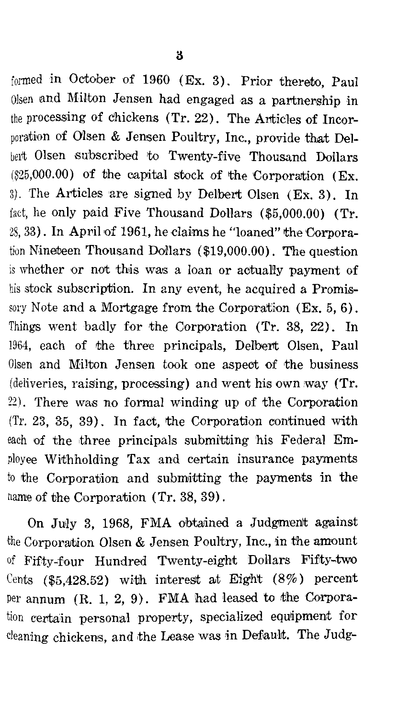formed in October of 1960 (Ex. 3). Prior thereto, Paul Olsen and Milton Jensen had engaged as a partnership in the processing of chickens (Tr. 22). The Articles of Incornoration of Olsen & Jensen Poultry, Inc., provide that Delbert Olsen subscribed to Twenty-five Thousand Dollars  $($25,000.00)$  of the capital stock of the Corporation (Ex. 3). The Articles are signed by Delbert Olsen  $(EX, 3)$ . In fact. he only paid Five Thousand Dollars (\$5,000.00) (Tr. 28, 33). In April of 1961, he claims he "loaned" the Corporation Nineteen Thousand Dollars (\$19,000.00). The question is whether or not this was a loan or actually payment of his stock subscription. In any event, he acquired a Promissory Note and a Mortgage from the Corporation (Ex. 5, 6). Things went badly for the Corporation (Tr. 38, 22). In 1964, each of the three principals, Delbert Olsen, Paul Olsen and Milton Jensen took one aspect of the business (deliveries, raising, processing) and went his own way (Tr. 22). There was no formal winding up of the Corporation (Tr. 23, 35, 39). In fact, the Corporation continued with each of the three principals submitting his Federal Employee Withholding Tax and certain insurance payments to the Corporation and submitting the payments in the name of the Corporation (Tr. 38, 39).

On July 3, 1968, FMA obtained a Judgment against the Corporation Olsen & Jensen Poultry, Inc., in the amount of Fifty-four Hundred Twenty-eight Dollars Fifty-two Cents (\$5,428.52) with interest at Eight  $(8\%)$  percent per annum (R. 1, 2, 9). FMA had leased to the Corporation certain personal property, specialized equipment for cleaning chickens, and the Lease was in Default. The Judg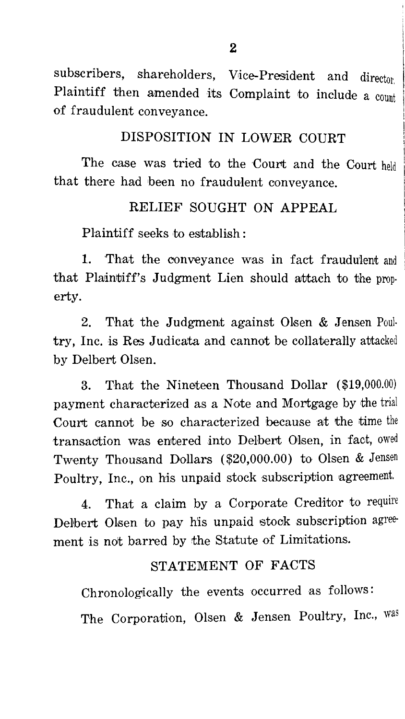subscribers, shareholders, Vice-President and director Plaintiff then amended its Complaint to include a count of fraudulent conveyance.

#### DISPOSITION IN LOWER COURT

The case was tried to the Court and the Court held that there had been no fraudulent conveyance.

#### RELIEF SOUGHT ON APPEAL

Plaintiff seeks to establish :

1. That the conveyance was in fact fraudu'lent and that Plaintiff's Judgment Lien should attach to the property.

2. That the Judgment against Olsen  $&$  Jensen Poultry, Inc. is Res Judicata and cannot be collaterally attacked by Delbert Olsen.

3. That the Nineteen Thousand Dollar (\$19,000.00) payment characterized as a Note and Mortgage by the trial Court cannot be so characterized because at the time the transaction was entered into Delbert Olsen, in fact, owed Twenty Thousand Dollars (\$20,000.00) to Olsen & Jensen Poultry, Inc., on his unpaid stock subscription agreement.

4. That a claim by a Corporate Creditor to require Delbert Olsen to pay his unpaid stock subscription agreement is not barred by the Statute of Limitations.

#### STATEMENT OF FACTS

Chronologically the events occurred as follows:

The Corporation, Olsen & Jensen Poultry, Inc., was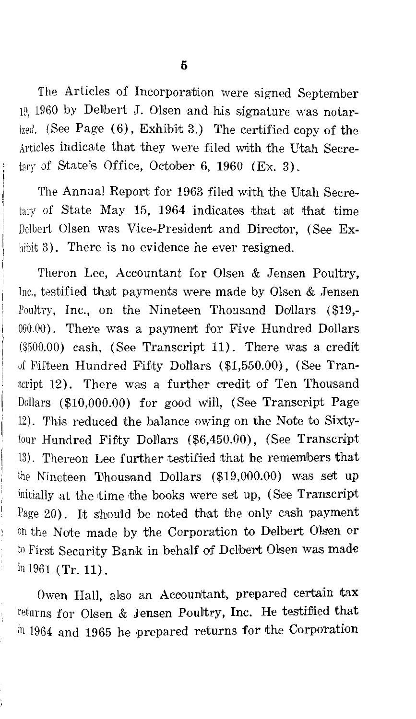The Articles of Incorporation were signed September 19, 1960 by Delbert J. Olsen and his signature was notarized. (See Page  $(6)$ , Exhibit 3.) The certified copy of the Articles indicate that they were filed with the Utah Secretary of State's Office, October 6, 1960 (Ex. 3).

The Annual Report for 1963 filed with the Utah Secretary of State May 15, 1964 indicates that at that time Delbert Olsen was Vice-President and Director, (See Exhibit 3). There is no evidence he ever resigned.

Theron Lee, Accountant for Olsen & Jensen Poultry, Inc., testified that payments were made by Olsen & Jensen Poultry, Inc., on the Nineteen Thousand Dollars  $(\$19, -$ 000.00). There was a payment for Five Hundred Dollars (\$500.00) cash, (See Transcript 11). There was a credit of Fifteen Hundred Fifty Dollars  $(\$1,550.00)$ , (See Transcript 12). There was a further credit of Ten Thousand Dollars  $(\$10,000.00)$  for good will, (See Transcript Page 12). This reduced the balance owing on the Note to Sixtyfour Hundred Fifty Dollars (\$6,450.00), (See Transcript 13). Thereon Lee further testified that he rememlbers that the Nineteen Thousand Dollars (\$19,000.00) was set up initially at the time the books were set up, (See Transcript Page 20). It should be noted that the only cash payment on the Note made by the Corporation to Delbert Olsen or to First Security Bank in behalf of Delbert Olisen was made inl961 (Tr.11).

Owen Hall, also an Accountant, prepared certain tax returns for Olsen & Jensen Poultry, Inc. He testified that in 1964 and 1965 he prepared returns for the Corporation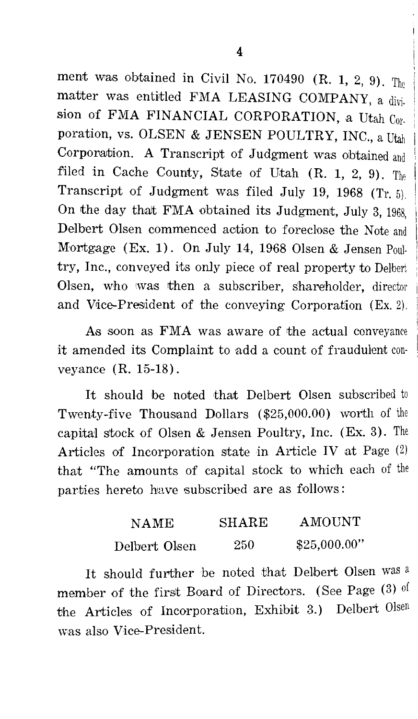ment was obtained in Civil No. 170490 (R. 1, 2, 9). The matter was entitled FMA LEASING COMPANY, a division of FMA FINANCIAL CORPORATION, a Utah Corporation, vs. OLSEN & JENSEN POULTRY, INC., a Iltah Corporation. A Transcript of Judgment was obtained and filed in Cache County, State of Utah  $(R, 1, 2, 9)$ . The Transcript of Judgment was filed July 19, 1968 (Tr. 5). On the day that FMA obtained its Judgment, July 3, 1968, Delbert Olsen commenced aetion to foreclose the Norte and Mortgage (Ex. 1). On July 14, 1968 Olsen & Jensen Poultry, Inc., conveyed its only piece of real property to Delbert Olsen, who was then a subscriber, shareholder, director and Vice-President of the conveying Corporation  $(E_{X_1}, E_2)$ .

As soon as FMA was aware of the actual conveyance it amended its Complaint to add a count of fraudulent con· veyance (R. 15-18).

It should be noted that Delbert Olsen subscribed to Twenty-five Thousand Dollars  $(\$25.000.00)$  worth of the capital stock of Olsen & Jensen Poultry, Inc. (Ex. 3). The Articles of Incorporation state in Article IV at Page (2) that "The amounts of capital stock to which each of the parties hereto have subscribed are as follows:

| NAME          | <b>SHARE</b> | AMOUNT       |
|---------------|--------------|--------------|
| Delbert Olsen | 250          | \$25,000.00" |

It should further be noted that Delbert Olsen was a member of the first Board of Directors. (See Page (3) of the Articles of Incorporation, Exhibit 3.) Delbert Olsen was also Vice-President.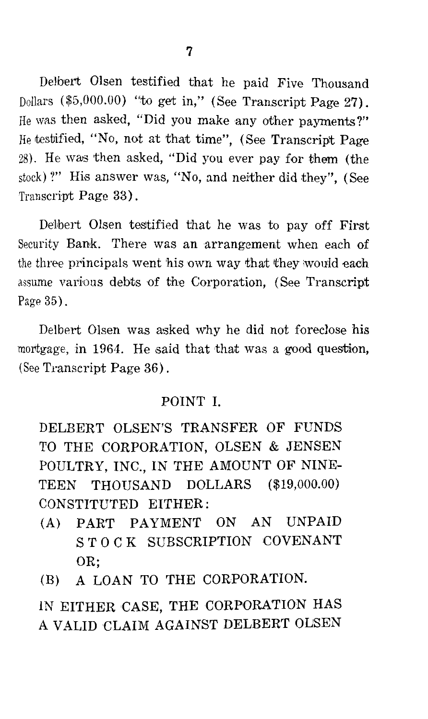Delbert Olsen testified that he paid Five Thousand Dollars (\$5,000.00) "to get in," (See Transcript Page 27). He was then asked, "Did you make any other payments?" He testified, "No, not at that time", (See Transcript Page 28). He was then asked, "Did you ever pay for them (the stock)?" His answer was, "No, and neither did they", (See Transcript Page 33).

Delbert Olsen tesitified that he was to pay off First Security Bank. There was an arrangement when each of the three principals went his own way that they would each assume various debts of the Corporation, (See Transcript Page 35).

Delbert Olsen was asked why he did not foreclose his mortgage, in 1964. He said that that was a good question, (See Transcript Page 36).

#### POINT I.

DELBERT OLSEN'S TRANSFER OF FUNDS TO THE CORPORATION, OLSEN & JENSEN POULTRY, INC., IN THE AMOUNT OF NINE-TEEN THOUSAND DOLLARS (\$19,000.00) CONSTITUTED EITHER:

- (A) PART PAYMENT ON AN UNPAID ST 0 CK SUBSCRIPTION COVENANT OR;
- (B) A LOAN TO THE CORPORATION.

IN EITHER CASE, THE CORPORATION HAS A VALID CLAIM AGAINST DELBERT OLSEN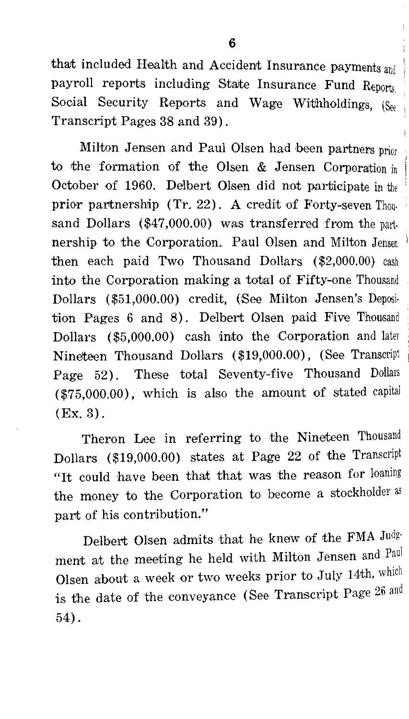that included Health and Accident Insurance payments and payroll reports including State Insurance Fund Reports. Social Security Reports and Wage Withholdings, (See Transcript Pages 38 and 39).

Milton Jensen and Paul Olsen had been partners price to the formation of the Olsen & Jensen Corporation in October of 1960. Delbert Olsen did not participate in the prior partnership (Tr. 22). A credit of Forty-seven Thousand Dollars (\$47,000.00) was transferred from the part. nership to the Corporation. Paul Olsen and Milton Jensen then each paid Two Thousand Dollars (\$2,000.00) cash into the Corporation making a total of Fifty-one Thousand Dollars (\$51,000.00) credit, (See Milton Jensen's Deposition Pages 6 and 8). Delbert Olsen paid Five Thousand Dollars (\$5,000.00) cash into the Corporation and later Nineteen Thousand Dollars (\$19,000.00), (See Transcript Page 52). These total Seventy-five Thousand Dollars (\$75,000.00), which is also the amount of stated capital (Ex. 3).

Theron Lee in referring to the Nineteen Thousand Dollars (\$19,000.00) states at Page 22 of the Transcript "It could have been that that was the reason for loaning the money to the Corporation to become a stockholder as part of hia contribution."

Delbert Olsen admits that he knew of the FMA Judgment at the meeting he held with Milton Jensen and Paul Olsen about a week or two weeks prior to July 14th, which is the date of the conveyance (See Transcript Page 26 and 54).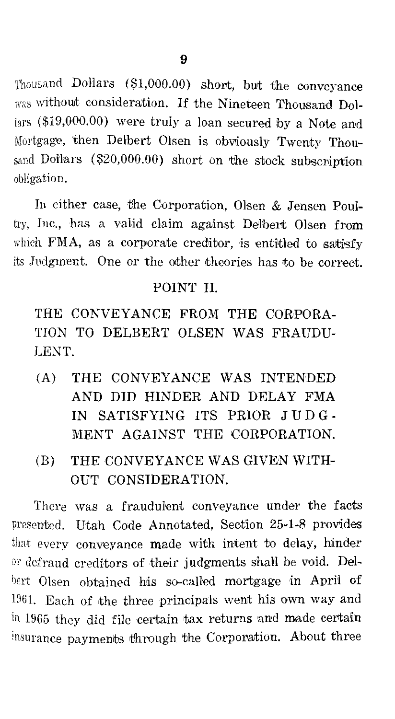Thousand DoHars (\$1,000.00) short, but the conveyance was without consideration. If the Nineteen Thousand Dollars (\$19,000.00) were truly a loan secured by a Note and Mortgage, then Delbert Olsen is obviously Twenty Thousand Dollars (\$20,000.00) short on the stock subscription obligation.

In either case, the Corporation, Olsen & Jensen Poultry, Inc., has a valid claim against Delbert Olsen from which FMA, as a corporate creditor, is entitled to satisfy its .Judgment. One or the other theories has to be correct.

### POINT II.

THE CONVEYANCE FROM THE CORPORA-TION TO DELBERT OLSEN WAS FRAUDU-LENT.

- (A) THE CONVEYANCE WAS INTENDED AND DID HINDER AND DELAY FMA IN SATISFYING ITS PRIOR JUD G-MENT AGAINST THE CORPORATION.
- (B) THE CONVEYANCE WAS GIVEN WITH-OUT CONSIDERATION.

There was a fraudulent conveyance under the facts presented. Utah Code Annotated, Section 25-1-8 provides that every conveyance made with intent to delay, hinder or defraud creditors of their judgments shall be void. Delbert Olsen obtained his so-called mortgage in April of  $1961$ . Each of the three principals went his own way and  $\overline{u}$  in 1965 they did file certain tax returns and made certain insurance payments through the Corporation. About three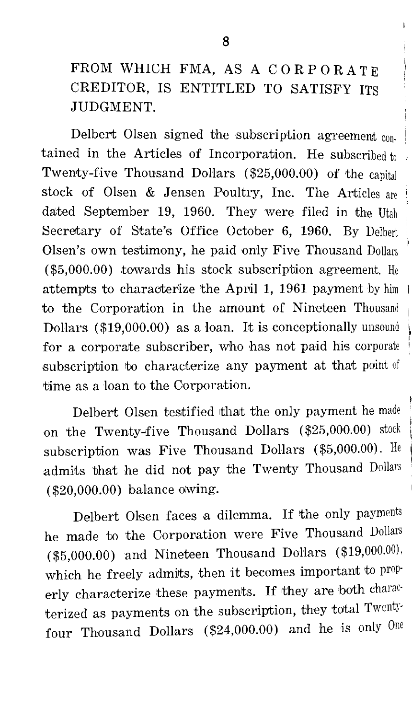FROM WHICH FMA, AS A CORPORATE CREDITOR, IS ENTITLED TO SATISFY ITS JUDGMENT.

Delbert Olsen signed the subscription agreement con. tained in the Articles of Incorporation. He subscribed to Twenty-five Thousand Dollars (\$25,000.00) of the capital stock of Olsen & Jensen Poultry, Inc. The Articles are dated September 19, 1960. They were filed in the Utah Secretary of State's Office October 6, 1960. By Delbert Olsen's own testimony, he paid only Five Thousand Dollars (\$5,000.00) towards his stock subscription agreement. He attempts to characterize the April 1, 1961 payment by him + to the Corporation in the amount of Nineteen Thousand Dollars ( \$19,000.00) as a loan. It is conceptionally unsound for a corporate subscriber, who has not paid his corporate subscription to characterize any payment at that point of time as a loan to the Corporation.

Delbert Olsen testified that the only payment he made on the Twenty-five Thousand Dollars (\$25,000.00) stock subscription was Five Thousand Dollars (\$5,000.00). He admits that he did not pay the Twenty Thousand Dollars (\$20,000.00) ba'lance owing.

Delbert Olsen faces a dilemma. If the only payments he made to the Corporation were Five Thousand Dollars (\$5,000.00) and Nineteen Thousand Dollars (\$19,000.00), which he freely admits, then it becomes important to properly characterize these payments. If they are both charac· terized as payments on the subscription, they total Twentyfour Thousand Dollars (\$24,000.00) and he is only One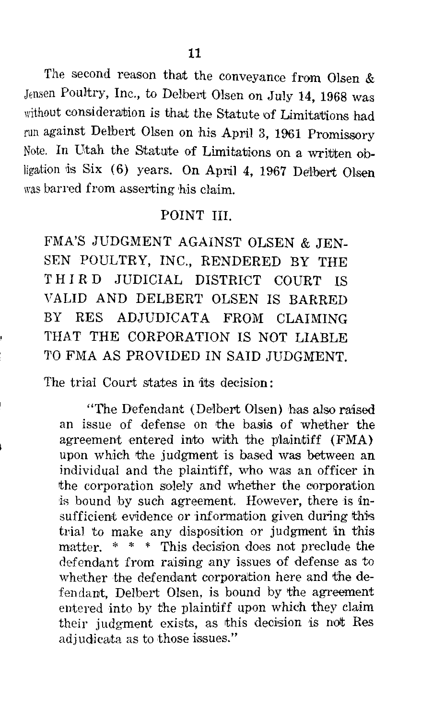The second reason that the conveyance from Olsen  $&$ Jensen Poultry, Inc., to Delbert Olsen on July 14, 1968 was without consideration is that the Statute of Limitations had run against Delbert Olsen on his April 3, 1961 Promissory Note. In Utah the Statute of Limitations on a written obligation is Six (6) years. On April 4, 1967 Delbert Olsen was barred from asserting his claim.

#### POINT III.

FMA'S JUDGMENT AGAINST OLSEN & JEN-SEN POULTRY, INC., RENDERED BY THE THIRD JUDICIAL DISTRICT COURT IS VALID AND DELBERT OLSEN IS BARRED BY RES ADJUDICATA FROM CLAIMING THAT THE CORPORATION IS NOT LIABLE TO FMA AS PROVIDED IN SAID JUDGMENT.

The trial Court states in its decision:

"The Defendant (Delbert Olsen) has also raised an issue of defense on the basis of whether the agreement entered into with the plaintiff (FMA) upon which the judgment is based was between an individual and the plaintiff, who was an officer in the corporation solely and whether the corporation is bound by such agreement. However, there is insufficient evidence or information given during this trial to make any disposition or judgment in this matter. \* \* \* This decision does not preclude the defendant from raising any issues of defense as to whether the defendant corporation here and the defendant, Delbert Olsen, is bound by the agreement entered into by the plaintiff upon which they claim their judgment exists, as this decision is not Res adjudicata as to those issues."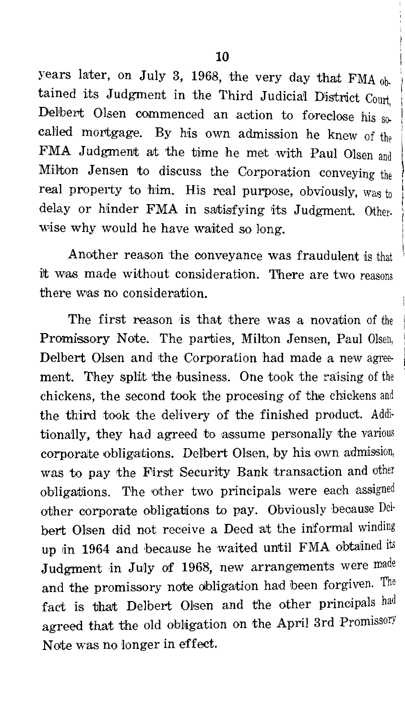years later, on July 3, 1968, the very day that FMA  $_{\text{0h}}$ tained its Judgment in the Third Judicial District Court Delbert Olsen commenced an action to foreclose his  $s_0$ called mortgage. By his own admission he knew of the FMA Judgment at the time he met with Paul Olsen and Milton Jensen to discuss the Corporation conveying the real property to him. His real purpose, obviously, was to delay or hinder FMA in satisfying its Judgment. Otherwise why would he have waited so long.

Another reason the oonveyance was fraudulent is that it was made without consideration. There are two reasons there was no consideration.

The first reason is that there was a novation of the Promissory Note. The parties, Milton Jensen, Paul Olsen, Delbert Olsen and the Corporation had made a new agreement. They split the business. One took the raising of the chickens, the second took the procesing of the chickens and the third took the delivery of the finished product. Additionally, they had agreed to assume personally the various corporate obligations. Delbert Olsen, by his own admission, was to pay the First Security Bank transaction and other obligations. The other two principals were each assigned other corporate obligations to pay. Obviously because Delbert Olsen did not receive a Deed at the informal winding up in 1964 and because he waited until FMA obtained its Judgment in July of 1968, new arrangements were made and the promissory note obligation had been forgiven. The fact is that Delbert Olsen and the other principals had agreed that the old obligation on the April 3rd Promissory Note was no <sup>1</sup> longer in effect.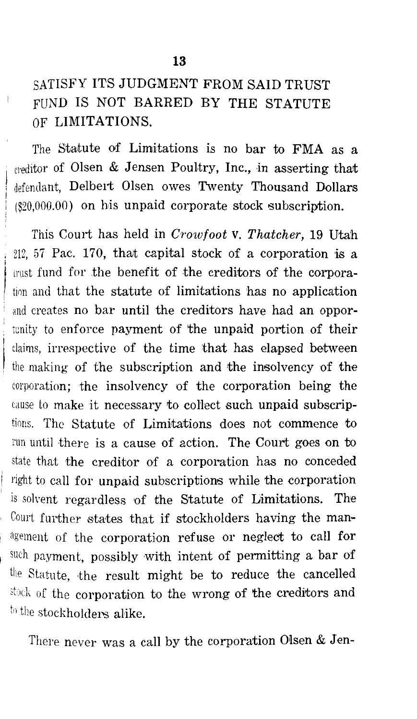## SATISFY ITS JUDGMENT FROM SAID TRUST FUND IS NOT BARRED BY THE STATUTE OF LIMITATIONS.

The Statute of Limitations is no bar to FMA as a creditor of Olsen & Jensen Poultry, Inc., in asserting that defendant, Delbert Olsen owes Twenty Thousand Dollars  $(820.000.00)$  on his unpaid corporate stock subscription.

This Court has held in *Crowfoot* v. *Thatcher,* 19 Utah  $212, 57$  Pac. 170, that capital stock of a corporation is a mist fund for the benefit of the creditors of the corporation and that the statute of limitations has no application and creates no bar until the creditors have had an opportunity to enforce payment of the unpaid portion of their claims, irrespective of the time that has elapsed between the making of the subscription and the insolvency of the corporation; the insolvency of the corporation being the cause to make it necessary to collect such unpaid subscriptions. The Statute of Limitations does not commence to run until there is a cause of action. The Court goes on to state that the creditor of a corporation has no conceded right to call for unpaid subscriptions while the corporation is solyent regardless of the Statute of Limitations. The Court further states that if stockholders having the man agement of the corporation refuse or neglect to call for such payment, possibly with intent of permitting a bar of the Statute, the result might be to reduce the cancelled stack of the corporation to the wrong of the creditors and to the stockholders alike.

There never was a call by the corporation Olsen  $&$  Jen-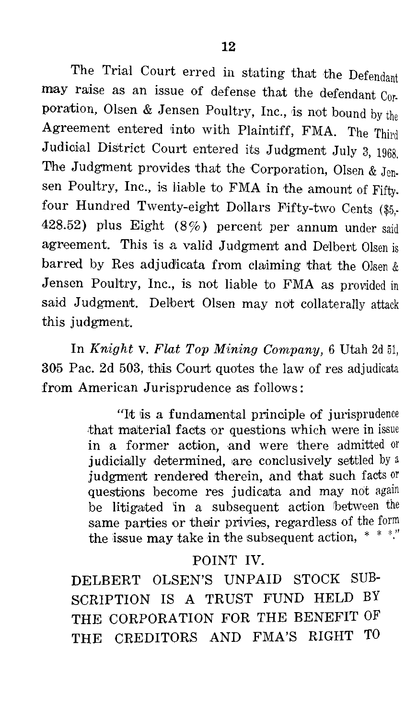The Trial Court erred in stating that the Defendant may raise as an issue of defense that the defendant  $C_0r$ poration, Olsen & Jensen Poultry, Inc., is not bound by the Agreement entered into with Plaintiff, FMA. The Third Judicial District Court entered its Judgment July 3, 1968. The Judgment provides that the Corporation, Olsen & Jensen Poultry. Inc., is liable to FMA in the amount of Fifty. four Hundred Twenty-eight Dollars Fifty-two Cents (\$5. 428.52) plus Eight  $(8\%)$  percent per annum under said agreement. This is a valid Judgment and Delbert Olsen is barred by Res adjudicata from claiming that the Olsen  $\&$ Jensen Poultry, Inc., is not liable to FMA as provided in said Judgment. Delbert Olsen may ndt collaterally attack this judgment.

In *Knight* v. *Flat Top Mining Company,* 6 Utah 2d 51, 305 Pac. 2d 503, thlis Courit quotes the law of res adjudicata from American Jurisprudence as follows:

> "It is a fundamental principle of jurisprudence that material facts or questions which were in issue in a former action, and were there admitted or judicially determined, are conclusively settled by a judgment rendered therein, and that such facts or questions become res judicata and may not again be litigated in a subsequent action between the same parties or their privies, regardless of the form the issue may take in the subsequent action,  $*$   $*$

#### POINT IV.

DELBERT OLSEN'S UNPAID STOCK SUB-SCRIPTION IS A TRUST FUND HELD BY THE CORPORATION FOR THE BENEFIT OF THE CREDITORS AND FMA'S RIGHT TO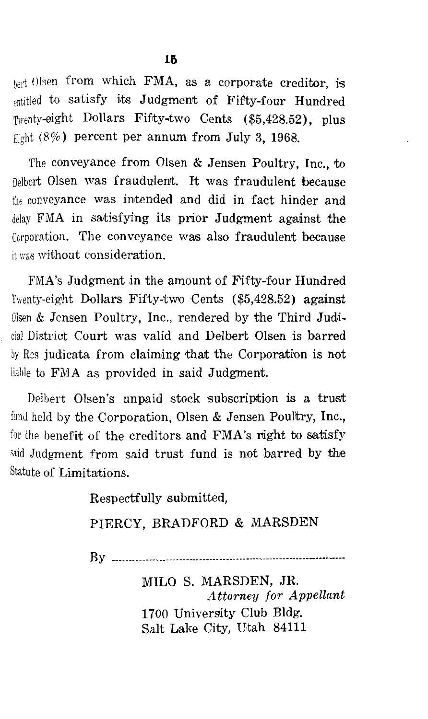hert Olsen from which FMA, as a corporate creditor, is entitled to satisfy its Judgment of Fifty-four Hundred Twenty-eight Dollars Fifty-two Cents (\$5,428.52), plus Eight  $(8\%)$  percent per annum from July 3, 1968.

The conveyance from Olsen & Jensen Poultry, Inc., to Delbert Olsen was fraudulent. It was fraudulent because the conveyance was intended and did in fact hinder and delay FMA in satisfying its prior Judgment against the Corporation. The conveyance was also fraudulent because it was without consideration.

FMA's Judgment in the amount of Fifty-four Hundred Twenty-eight Dollars Fifty-two Cents (\$5,428.52) against Olsen & Jensen Poultry, Inc., rendered by the Third Judicial District Court was valid and Delbert Olsen is barred by Res judicata from claiming that the Corporation is not liable to FMA as provided in said Judgment.

Delbert Olsen's unpaid stock subscription is a trust fund held by the Corporation, Olsen & Jensen Poultry, Inc., for the benefit of the creditors and  $FMA$ 's right to satisfy said Judgment from said trust fund is not barred by the Statute of Limitations.

> Respectfully submitted, PIERCY, BRADFORD & MARSDEN By ---------------------------------------------------------------------- MILO S. MARSDEN, JR. *Attorney for Appellant*

> > 1700 University Club Bldg. Salt Lake City, Utah 84111